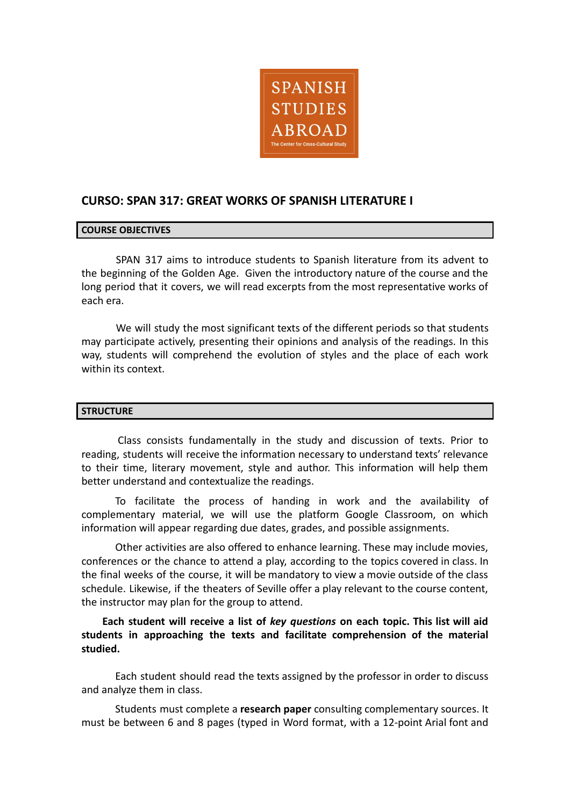

# **CURSO: SPAN 317: GREAT WORKS OF SPANISH LITERATURE I**

# **COURSE OBJECTIVES**

SPAN 317 aims to introduce students to Spanish literature from its advent to the beginning of the Golden Age. Given the introductory nature of the course and the long period that it covers, we will read excerpts from the most representative works of each era.

We will study the most significant texts of the different periods so that students may participate actively, presenting their opinions and analysis of the readings. In this way, students will comprehend the evolution of styles and the place of each work within its context.

### **STRUCTURE**

Class consists fundamentally in the study and discussion of texts. Prior to reading, students will receive the information necessary to understand texts' relevance to their time, literary movement, style and author. This information will help them better understand and contextualize the readings.

To facilitate the process of handing in work and the availability of complementary material, we will use the platform Google Classroom, on which information will appear regarding due dates, grades, and possible assignments.

Other activities are also offered to enhance learning. These may include movies, conferences or the chance to attend a play, according to the topics covered in class. In the final weeks of the course, it will be mandatory to view a movie outside of the class schedule. Likewise, if the theaters of Seville offer a play relevant to the course content, the instructor may plan for the group to attend.

**Each student will receive a list of** *key questions* **on each topic. This list will aid students in approaching the texts and facilitate comprehension of the material studied.**

Each student should read the texts assigned by the professor in order to discuss and analyze them in class.

Students must complete a **research paper** consulting complementary sources. It must be between 6 and 8 pages (typed in Word format, with a 12-point Arial font and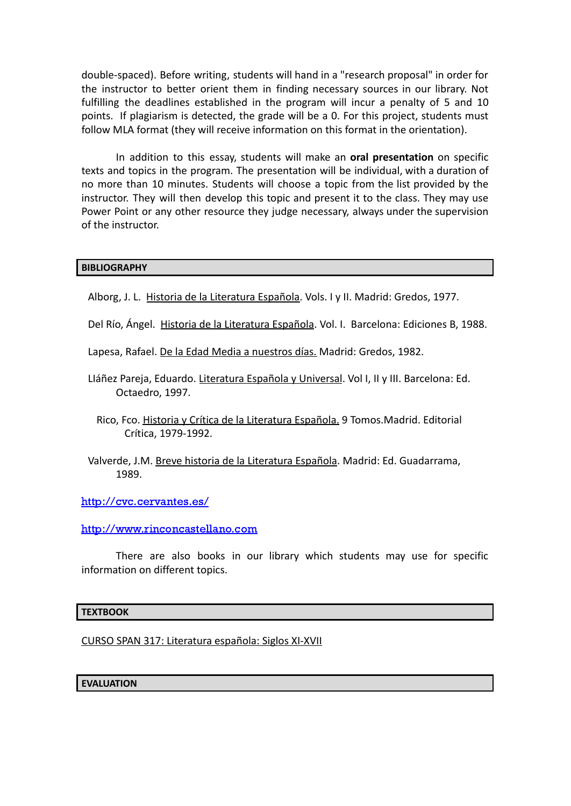double-spaced). Before writing, students will hand in a "research proposal" in order for the instructor to better orient them in finding necessary sources in our library. Not fulfilling the deadlines established in the program will incur a penalty of 5 and 10 points. If plagiarism is detected, the grade will be a 0. For this project, students must follow MLA format (they will receive information on this format in the orientation).

In addition to this essay, students will make an **oral presentation** on specific texts and topics in the program. The presentation will be individual, with a duration of no more than 10 minutes. Students will choose a topic from the list provided by the instructor. They will then develop this topic and present it to the class. They may use Power Point or any other resource they judge necessary, always under the supervision of the instructor.

# **BIBLIOGRAPHY**

- Alborg, J. L. Historia de la Literatura Española. Vols. I y II. Madrid: Gredos, 1977.
- Del Río, Ángel. Historia de la Literatura Española. Vol. I. Barcelona: Ediciones B, 1988.
- Lapesa, Rafael. De la Edad Media a nuestros días. Madrid: Gredos, 1982.
- Lláñez Pareja, Eduardo. Literatura Española y Universal. Vol I, II y III. Barcelona: Ed. Octaedro, 1997.
	- Rico, Fco. Historia y Crítica de la Literatura Española. 9 Tomos.Madrid. Editorial Crítica, 1979-1992.
- Valverde, J.M. Breve historia de la Literatura Española. Madrid: Ed. Guadarrama, 1989.

<http://cvc.cervantes.es/>

<http://www.rinconcastellano.com>

There are also books in our library which students may use for specific information on different topics.

### **TEXTBOOK**

CURSO SPAN 317: Literatura española: Siglos XI-XVII

**EVALUATION**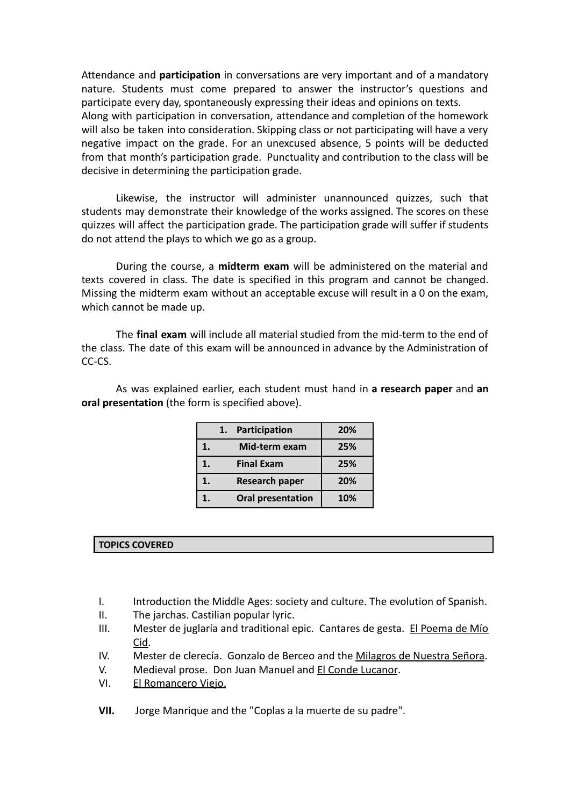Attendance and **participation** in conversations are very important and of a mandatory nature. Students must come prepared to answer the instructor's questions and participate every day, spontaneously expressing their ideas and opinions on texts. Along with participation in conversation, attendance and completion of the homework will also be taken into consideration. Skipping class or not participating will have a very negative impact on the grade. For an unexcused absence, 5 points will be deducted from that month's participation grade. Punctuality and contribution to the class will be decisive in determining the participation grade.

Likewise, the instructor will administer unannounced quizzes, such that students may demonstrate their knowledge of the works assigned. The scores on these quizzes will affect the participation grade. The participation grade will suffer if students do not attend the plays to which we go as a group.

During the course, a **midterm exam** will be administered on the material and texts covered in class. The date is specified in this program and cannot be changed. Missing the midterm exam without an acceptable excuse will result in a 0 on the exam, which cannot be made up.

The **final exam** will include all material studied from the mid-term to the end of the class. The date of this exam will be announced in advance by the Administration of CC-CS.

As was explained earlier, each student must hand in **a research paper** and **an oral presentation** (the form is specified above).

|    | 1. | Participation            | 20% |
|----|----|--------------------------|-----|
| 1. |    | Mid-term exam            | 25% |
| 1. |    | <b>Final Exam</b>        | 25% |
| 1. |    | <b>Research paper</b>    | 20% |
| 1. |    | <b>Oral presentation</b> | 10% |

### **TOPICS COVERED**

- I. Introduction the Middle Ages: society and culture. The evolution of Spanish.
- II. The jarchas. Castilian popular lyric.
- III. Mester de juglaría and traditional epic. Cantares de gesta. El Poema de Mío Cid.
- IV. Mester de clerecía. Gonzalo de Berceo and the Milagros de Nuestra Señora.
- V. Medieval prose. Don Juan Manuel and **El Conde Lucanor**.
- VI. El Romancero Viejo.
- **VII.** Jorge Manrique and the "Coplas a la muerte de su padre".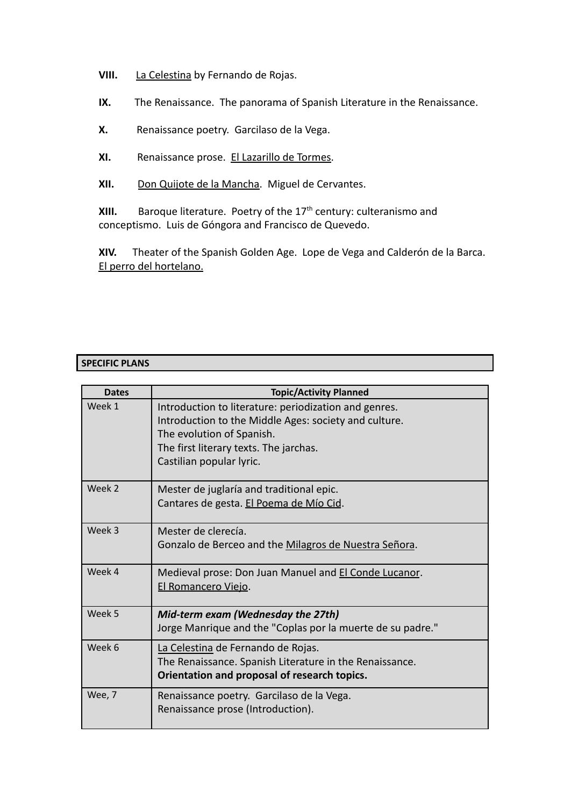- **VIII.** La Celestina by Fernando de Rojas.
- **IX.** The Renaissance. The panorama of Spanish Literature in the Renaissance.
- **X.** Renaissance poetry. Garcilaso de la Vega.
- **XI.** Renaissance prose. El Lazarillo de Tormes.
- **XII.** Don Quijote de la Mancha. Miguel de Cervantes.

**XIII.** Baroque literature. Poetry of the 17<sup>th</sup> century: culteranismo and conceptismo. Luis de Góngora and Francisco de Quevedo.

**XIV.** Theater of the Spanish Golden Age. Lope de Vega and Calderón de la Barca. El perro del hortelano.

# **SPECIFIC PLANS**

| <b>Dates</b> | <b>Topic/Activity Planned</b>                                                                                                                                                                                     |
|--------------|-------------------------------------------------------------------------------------------------------------------------------------------------------------------------------------------------------------------|
| Week 1       | Introduction to literature: periodization and genres.<br>Introduction to the Middle Ages: society and culture.<br>The evolution of Spanish.<br>The first literary texts. The jarchas.<br>Castilian popular lyric. |
| Week 2       | Mester de juglaría and traditional epic.<br>Cantares de gesta. El Poema de Mío Cid.                                                                                                                               |
| Week 3       | Mester de clerecía.<br>Gonzalo de Berceo and the Milagros de Nuestra Señora.                                                                                                                                      |
| Week 4       | Medieval prose: Don Juan Manuel and El Conde Lucanor.<br>El Romancero Viejo.                                                                                                                                      |
| Week 5       | Mid-term exam (Wednesday the 27th)<br>Jorge Manrique and the "Coplas por la muerte de su padre."                                                                                                                  |
| Week 6       | La Celestina de Fernando de Rojas.<br>The Renaissance. Spanish Literature in the Renaissance.<br>Orientation and proposal of research topics.                                                                     |
| Wee, 7       | Renaissance poetry. Garcilaso de la Vega.<br>Renaissance prose (Introduction).                                                                                                                                    |